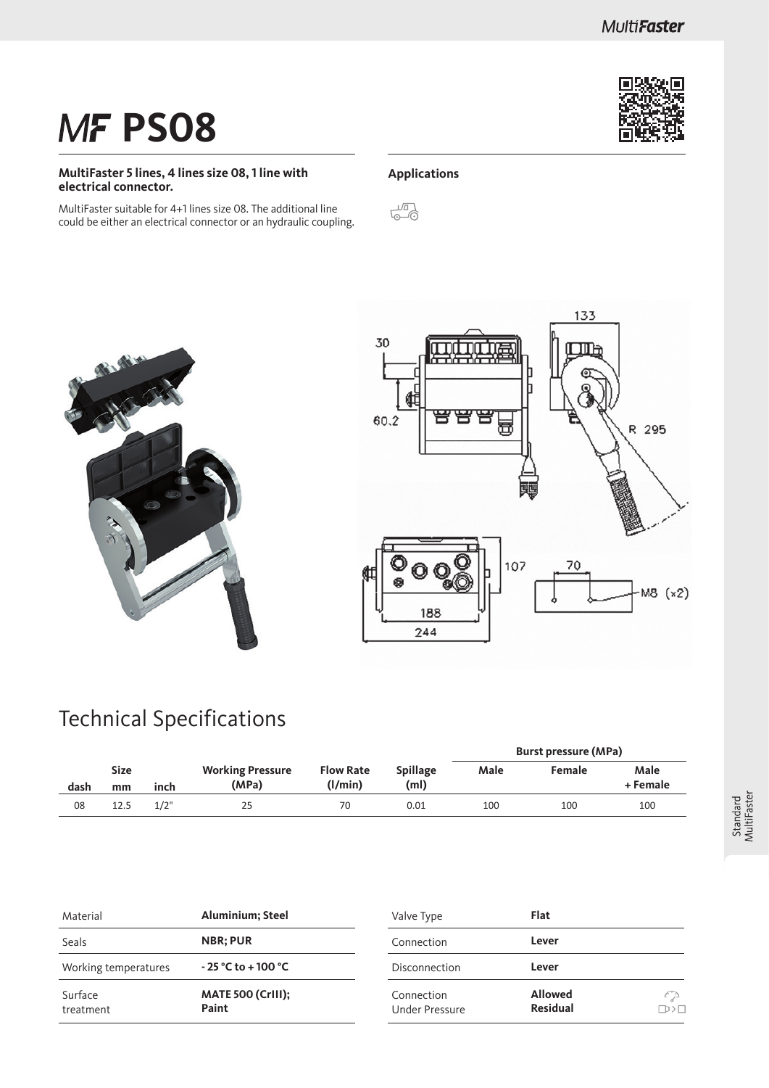# **MF PS08**

#### **MultiFaster 5 lines, 4 lines size 08, 1 line with electrical connector.**

MultiFaster suitable for 4+1 lines size 08. The additional line could be either an electrical connector or an hydraulic coupling.

#### **Applications**





### Technical Specifications

|      |                           |      |                                  |                             |                         |      | <b>Burst pressure (MPa)</b> |                  |  |
|------|---------------------------|------|----------------------------------|-----------------------------|-------------------------|------|-----------------------------|------------------|--|
| dash | <b>Size</b><br>inch<br>mm |      | <b>Working Pressure</b><br>(MPa) | <b>Flow Rate</b><br>(l/min) | <b>Spillage</b><br>(ml) | Male | Female                      | Male<br>+ Female |  |
| 08   | 12.5                      | 1/2" | 25                               | 70                          | 0.01                    | 100  | 100                         | 100              |  |

| Material             | <b>Aluminium</b> ; Steel          | Valve Type                   | Flat                              |
|----------------------|-----------------------------------|------------------------------|-----------------------------------|
| <b>Seals</b>         | <b>NBR</b> ; PUR                  | Connection                   | Lever                             |
| Working temperatures | $-25 °C$ to $+100 °C$             | Disconnection                | Lever                             |
| Surface<br>treatment | <b>MATE 500 (CrIII):</b><br>Paint | Connection<br>Under Pressure | <b>Allowed</b><br><b>Residual</b> |

 $\mathcal{L}_{\sigma}$  $\overline{\mathbb{D}}$